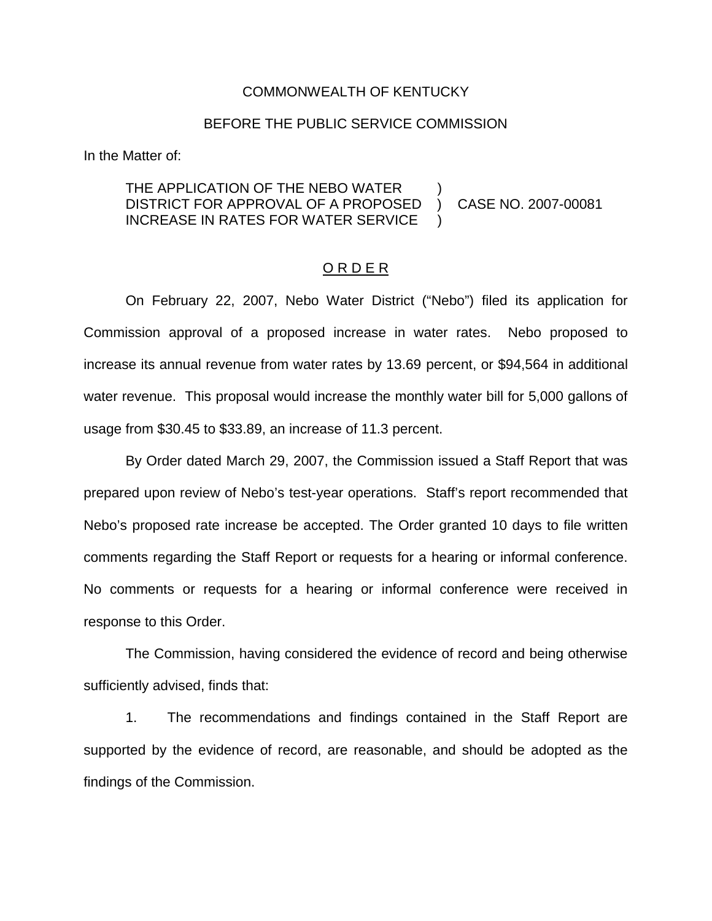#### COMMONWEALTH OF KENTUCKY

#### BEFORE THE PUBLIC SERVICE COMMISSION

In the Matter of:

## THE APPLICATION OF THE NEBO WATER DISTRICT FOR APPROVAL OF A PROPOSED ) CASE NO. 2007-00081 INCREASE IN RATES FOR WATER SERVICE

## O R D E R

On February 22, 2007, Nebo Water District ("Nebo") filed its application for Commission approval of a proposed increase in water rates. Nebo proposed to increase its annual revenue from water rates by 13.69 percent, or \$94,564 in additional water revenue. This proposal would increase the monthly water bill for 5,000 gallons of usage from \$30.45 to \$33.89, an increase of 11.3 percent.

By Order dated March 29, 2007, the Commission issued a Staff Report that was prepared upon review of Nebo's test-year operations. Staff's report recommended that Nebo's proposed rate increase be accepted. The Order granted 10 days to file written comments regarding the Staff Report or requests for a hearing or informal conference. No comments or requests for a hearing or informal conference were received in response to this Order.

The Commission, having considered the evidence of record and being otherwise sufficiently advised, finds that:

1. The recommendations and findings contained in the Staff Report are supported by the evidence of record, are reasonable, and should be adopted as the findings of the Commission.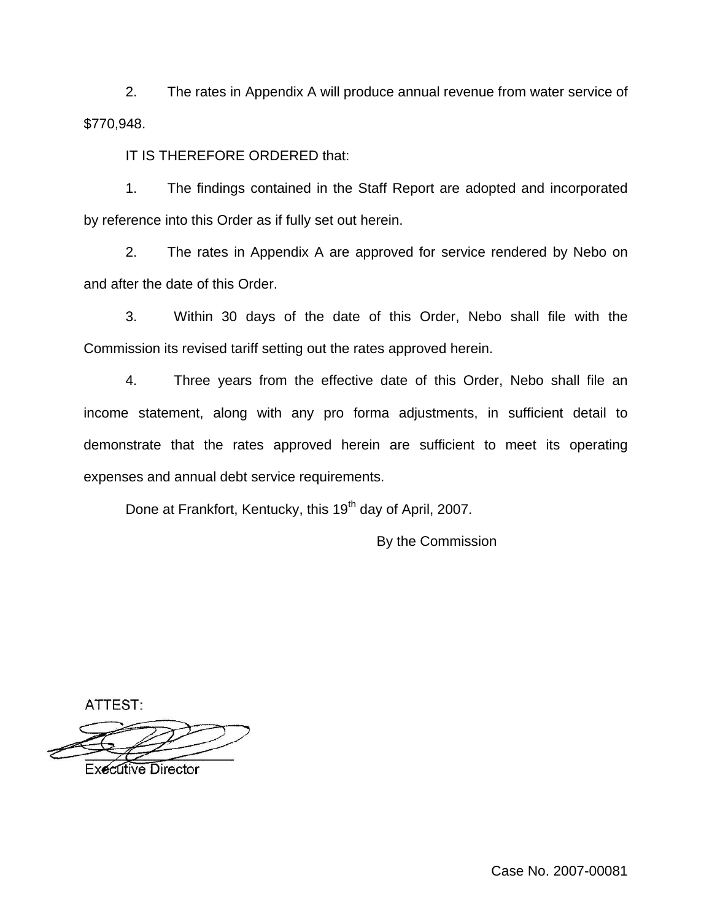2. The rates in Appendix A will produce annual revenue from water service of \$770,948.

IT IS THEREFORE ORDERED that:

1. The findings contained in the Staff Report are adopted and incorporated by reference into this Order as if fully set out herein.

2. The rates in Appendix A are approved for service rendered by Nebo on and after the date of this Order.

3. Within 30 days of the date of this Order, Nebo shall file with the Commission its revised tariff setting out the rates approved herein.

4. Three years from the effective date of this Order, Nebo shall file an income statement, along with any pro forma adjustments, in sufficient detail to demonstrate that the rates approved herein are sufficient to meet its operating expenses and annual debt service requirements.

Done at Frankfort, Kentucky, this 19<sup>th</sup> day of April, 2007.

By the Commission

ATTEST:

**Executive Director** 

Case No. 2007-00081